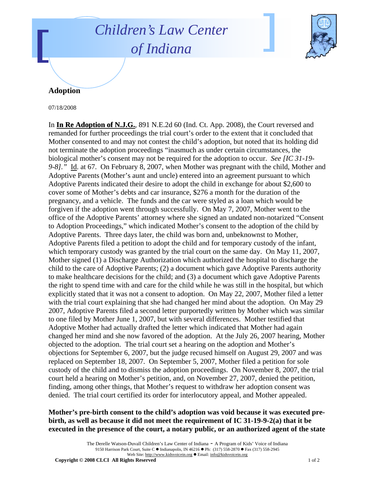## *Children's Law Center of Indiana*



## **Adoption**

07/18/2008

In **In Re Adoption of N.J.G.**, 891 N.E.2d 60 (Ind. Ct. App. 2008), the Court reversed and remanded for further proceedings the trial court's order to the extent that it concluded that Mother consented to and may not contest the child's adoption, but noted that its holding did not terminate the adoption proceedings "inasmuch as under certain circumstances, the biological mother's consent may not be required for the adoption to occur. *See [IC 31-19- 9-8]."* Id. at 67. On February 8, 2007, when Mother was pregnant with the child, Mother and Adoptive Parents (Mother's aunt and uncle) entered into an agreement pursuant to which Adoptive Parents indicated their desire to adopt the child in exchange for about \$2,600 to cover some of Mother's debts and car insurance, \$276 a month for the duration of the pregnancy, and a vehicle. The funds and the car were styled as a loan which would be forgiven if the adoption went through successfully. On May 7, 2007, Mother went to the office of the Adoptive Parents' attorney where she signed an undated non-notarized "Consent to Adoption Proceedings," which indicated Mother's consent to the adoption of the child by Adoptive Parents. Three days later, the child was born and, unbeknownst to Mother, Adoptive Parents filed a petition to adopt the child and for temporary custody of the infant, which temporary custody was granted by the trial court on the same day. On May 11, 2007, Mother signed (1) a Discharge Authorization which authorized the hospital to discharge the child to the care of Adoptive Parents; (2) a document which gave Adoptive Parents authority to make healthcare decisions for the child; and (3) a document which gave Adoptive Parents the right to spend time with and care for the child while he was still in the hospital, but which explicitly stated that it was not a consent to adoption. On May 22, 2007, Mother filed a letter with the trial court explaining that she had changed her mind about the adoption. On May 29 2007, Adoptive Parents filed a second letter purportedly written by Mother which was similar to one filed by Mother June 1, 2007, but with several differences. Mother testified that Adoptive Mother had actually drafted the letter which indicated that Mother had again changed her mind and she now favored of the adoption. At the July 26, 2007 hearing, Mother objected to the adoption. The trial court set a hearing on the adoption and Mother's objections for September 6, 2007, but the judge recused himself on August 29, 2007 and was replaced on September 18, 2007. On September 5, 2007, Mother filed a petition for sole custody of the child and to dismiss the adoption proceedings. On November 8, 2007, the trial court held a hearing on Mother's petition, and, on November 27, 2007, denied the petition, finding, among other things, that Mother's request to withdraw her adoption consent was denied. The trial court certified its order for interlocutory appeal, and Mother appealed.

## **Mother's pre-birth consent to the child's adoption was void because it was executed prebirth, as well as because it did not meet the requirement of IC 31-19-9-2(a) that it be executed in the presence of the court, a notary public, or an authorized agent of the state**

The Derelle Watson-Duvall Children's Law Center of Indiana - A Program of Kids' Voice of Indiana 9150 Harrison Park Court, Suite C · Indianapolis, IN 46216 • Ph: (317) 558-2870 • Fax (317) 558-2945 Web Site: http://www.kidsvoicein.org · Email: info@kidsvoicein.org